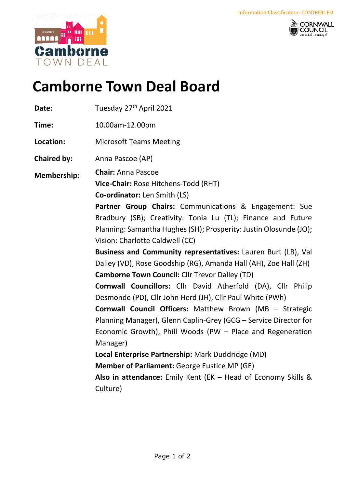



## **Camborne Town Deal Board**

| Date:              | Tuesday 27 <sup>th</sup> April 2021                               |
|--------------------|-------------------------------------------------------------------|
| Time:              | 10.00am-12.00pm                                                   |
| Location:          | <b>Microsoft Teams Meeting</b>                                    |
| <b>Chaired by:</b> | Anna Pascoe (AP)                                                  |
| Membership:        | <b>Chair: Anna Pascoe</b>                                         |
|                    | Vice-Chair: Rose Hitchens-Todd (RHT)                              |
|                    | <b>Co-ordinator:</b> Len Smith (LS)                               |
|                    | Partner Group Chairs: Communications & Engagement: Sue            |
|                    | Bradbury (SB); Creativity: Tonia Lu (TL); Finance and Future      |
|                    | Planning: Samantha Hughes (SH); Prosperity: Justin Olosunde (JO); |
|                    | Vision: Charlotte Caldwell (CC)                                   |
|                    | Business and Community representatives: Lauren Burt (LB), Val     |
|                    | Dalley (VD), Rose Goodship (RG), Amanda Hall (AH), Zoe Hall (ZH)  |
|                    | <b>Camborne Town Council: Cllr Trevor Dalley (TD)</b>             |
|                    | Cornwall Councillors: Cllr David Atherfold (DA), Cllr Philip      |
|                    | Desmonde (PD), Cllr John Herd (JH), Cllr Paul White (PWh)         |
|                    | <b>Cornwall Council Officers:</b> Matthew Brown (MB - Strategic   |
|                    | Planning Manager), Glenn Caplin-Grey (GCG - Service Director for  |
|                    | Economic Growth), Phill Woods (PW - Place and Regeneration        |
|                    | Manager)                                                          |
|                    | Local Enterprise Partnership: Mark Duddridge (MD)                 |
|                    | <b>Member of Parliament: George Eustice MP (GE)</b>               |
|                    | Also in attendance: Emily Kent (EK $-$ Head of Economy Skills &   |
|                    | Culture)                                                          |
|                    |                                                                   |